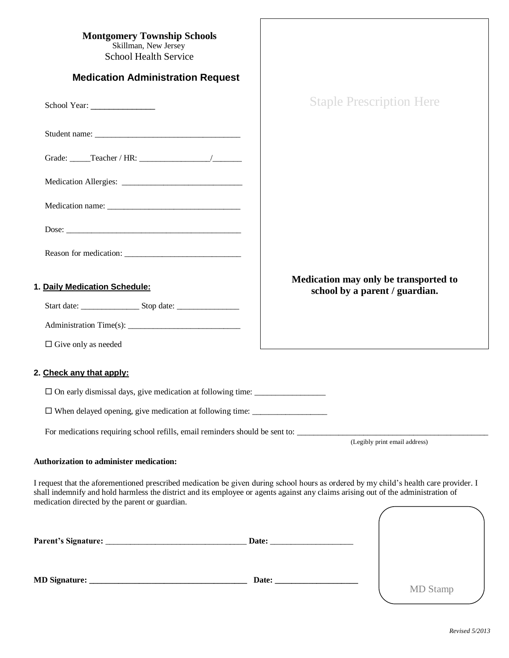| <b>Montgomery Township Schools</b><br>Skillman, New Jersey                                                                                                                                                                                                                                                                   |                                                                         |
|------------------------------------------------------------------------------------------------------------------------------------------------------------------------------------------------------------------------------------------------------------------------------------------------------------------------------|-------------------------------------------------------------------------|
| <b>School Health Service</b>                                                                                                                                                                                                                                                                                                 |                                                                         |
| <b>Medication Administration Request</b>                                                                                                                                                                                                                                                                                     |                                                                         |
|                                                                                                                                                                                                                                                                                                                              | <b>Staple Prescription Here</b>                                         |
|                                                                                                                                                                                                                                                                                                                              |                                                                         |
|                                                                                                                                                                                                                                                                                                                              |                                                                         |
|                                                                                                                                                                                                                                                                                                                              |                                                                         |
|                                                                                                                                                                                                                                                                                                                              |                                                                         |
|                                                                                                                                                                                                                                                                                                                              |                                                                         |
| Reason for medication:                                                                                                                                                                                                                                                                                                       |                                                                         |
| 1. Daily Medication Schedule:                                                                                                                                                                                                                                                                                                | Medication may only be transported to<br>school by a parent / guardian. |
|                                                                                                                                                                                                                                                                                                                              |                                                                         |
|                                                                                                                                                                                                                                                                                                                              |                                                                         |
| $\Box$ Give only as needed                                                                                                                                                                                                                                                                                                   |                                                                         |
| 2. Check any that apply:                                                                                                                                                                                                                                                                                                     |                                                                         |
|                                                                                                                                                                                                                                                                                                                              |                                                                         |
| □ When delayed opening, give medication at following time: _____________________                                                                                                                                                                                                                                             |                                                                         |
|                                                                                                                                                                                                                                                                                                                              | (Legibly print email address)                                           |
| <b>Authorization to administer medication:</b>                                                                                                                                                                                                                                                                               |                                                                         |
| I request that the aforementioned prescribed medication be given during school hours as ordered by my child's health care provider. I<br>shall indemnify and hold harmless the district and its employee or agents against any claims arising out of the administration of<br>medication directed by the parent or guardian. |                                                                         |
|                                                                                                                                                                                                                                                                                                                              |                                                                         |
|                                                                                                                                                                                                                                                                                                                              |                                                                         |
|                                                                                                                                                                                                                                                                                                                              |                                                                         |
|                                                                                                                                                                                                                                                                                                                              | Date: $\_\_$                                                            |

| в | Ľ<br>П |
|---|--------|
|---|--------|